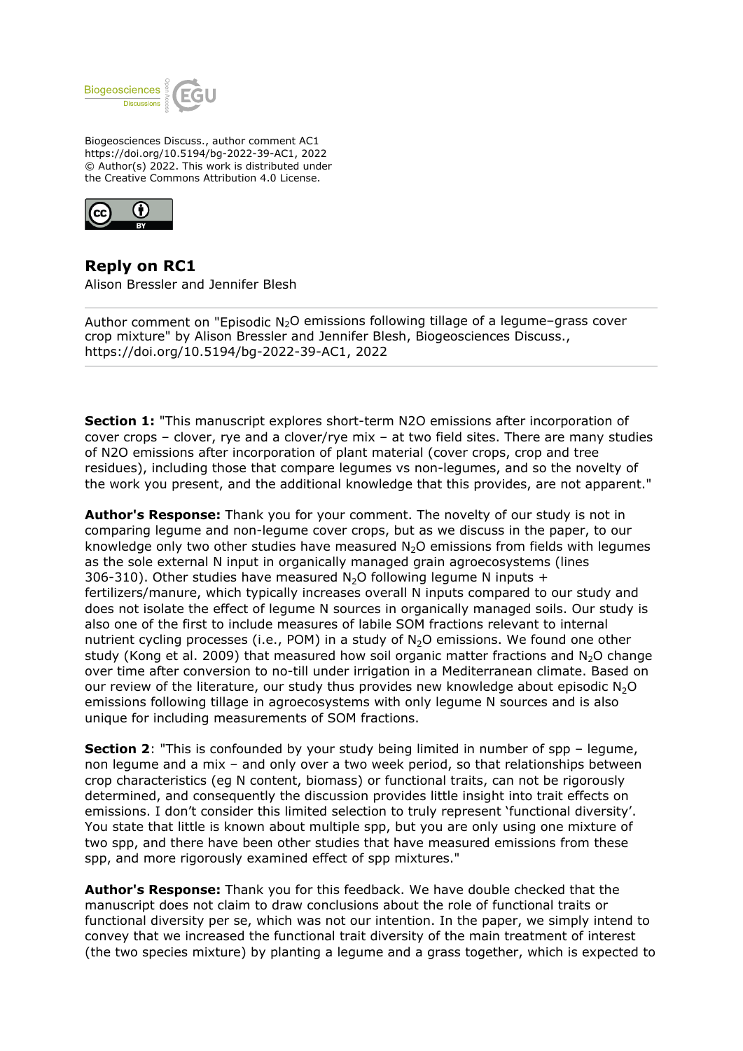

Biogeosciences Discuss., author comment AC1 https://doi.org/10.5194/bg-2022-39-AC1, 2022 © Author(s) 2022. This work is distributed under the Creative Commons Attribution 4.0 License.



**Reply on RC1** Alison Bressler and Jennifer Blesh

Author comment on "Episodic  $N_2O$  emissions following tillage of a legume–grass cover crop mixture" by Alison Bressler and Jennifer Blesh, Biogeosciences Discuss., https://doi.org/10.5194/bg-2022-39-AC1, 2022

**Section 1:** "This manuscript explores short-term N2O emissions after incorporation of cover crops – clover, rye and a clover/rye mix – at two field sites. There are many studies of N2O emissions after incorporation of plant material (cover crops, crop and tree residues), including those that compare legumes vs non-legumes, and so the novelty of the work you present, and the additional knowledge that this provides, are not apparent."

**Author's Response:** Thank you for your comment. The novelty of our study is not in comparing legume and non-legume cover crops, but as we discuss in the paper, to our knowledge only two other studies have measured  $N_2O$  emissions from fields with legumes as the sole external N input in organically managed grain agroecosystems (lines 306-310). Other studies have measured  $N_2O$  following legume N inputs + fertilizers/manure, which typically increases overall N inputs compared to our study and does not isolate the effect of legume N sources in organically managed soils. Our study is also one of the first to include measures of labile SOM fractions relevant to internal nutrient cycling processes (i.e., POM) in a study of  $N<sub>2</sub>O$  emissions. We found one other study (Kong et al. 2009) that measured how soil organic matter fractions and  $N_2O$  change over time after conversion to no-till under irrigation in a Mediterranean climate. Based on our review of the literature, our study thus provides new knowledge about episodic  $N_2O$ emissions following tillage in agroecosystems with only legume N sources and is also unique for including measurements of SOM fractions.

**Section 2:** "This is confounded by your study being limited in number of spp – legume, non legume and a mix – and only over a two week period, so that relationships between crop characteristics (eg N content, biomass) or functional traits, can not be rigorously determined, and consequently the discussion provides little insight into trait effects on emissions. I don't consider this limited selection to truly represent 'functional diversity'. You state that little is known about multiple spp, but you are only using one mixture of two spp, and there have been other studies that have measured emissions from these spp, and more rigorously examined effect of spp mixtures."

**Author's Response:** Thank you for this feedback. We have double checked that the manuscript does not claim to draw conclusions about the role of functional traits or functional diversity per se, which was not our intention. In the paper, we simply intend to convey that we increased the functional trait diversity of the main treatment of interest (the two species mixture) by planting a legume and a grass together, which is expected to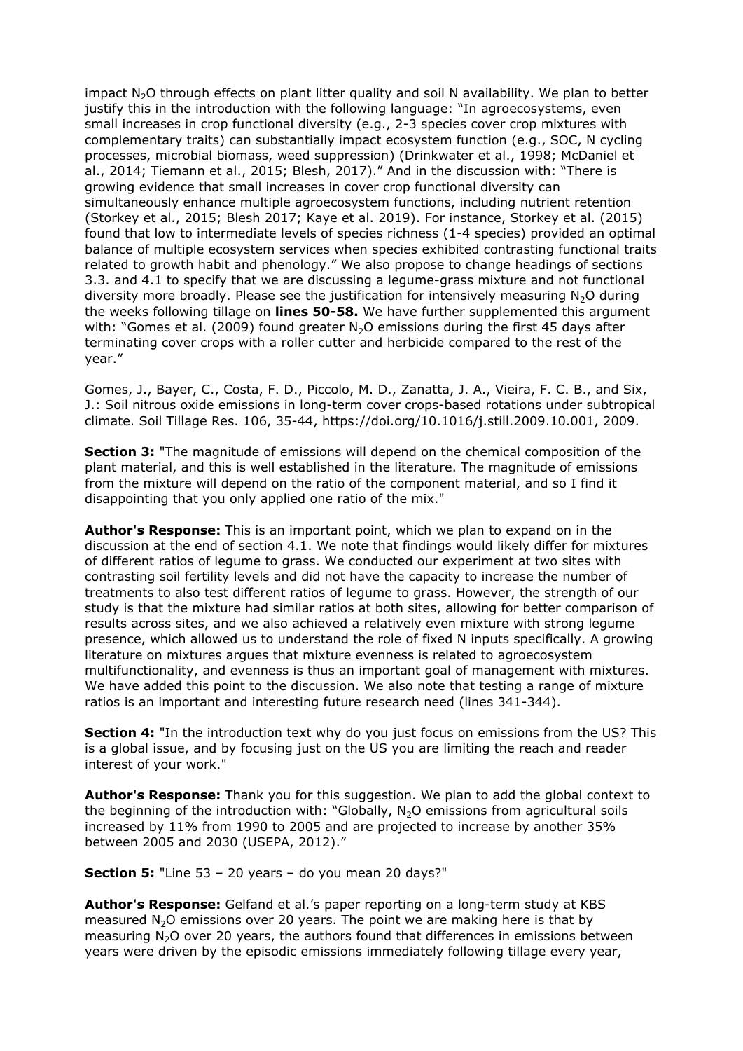impact N<sub>2</sub>O through effects on plant litter quality and soil N availability. We plan to better justify this in the introduction with the following language: "In agroecosystems, even small increases in crop functional diversity (e.g., 2-3 species cover crop mixtures with complementary traits) can substantially impact ecosystem function (e.g., SOC, N cycling processes, microbial biomass, weed suppression) (Drinkwater et al., 1998; McDaniel et al., 2014; Tiemann et al., 2015; Blesh, 2017)." And in the discussion with: "There is growing evidence that small increases in cover crop functional diversity can simultaneously enhance multiple agroecosystem functions, including nutrient retention (Storkey et al., 2015; Blesh 2017; Kaye et al. 2019). For instance, Storkey et al. (2015) found that low to intermediate levels of species richness (1-4 species) provided an optimal balance of multiple ecosystem services when species exhibited contrasting functional traits related to growth habit and phenology." We also propose to change headings of sections 3.3. and 4.1 to specify that we are discussing a legume-grass mixture and not functional diversity more broadly. Please see the justification for intensively measuring  $N_2O$  during the weeks following tillage on **lines 50-58.** We have further supplemented this argument with: "Gomes et al. (2009) found greater  $N<sub>2</sub>O$  emissions during the first 45 days after terminating cover crops with a roller cutter and herbicide compared to the rest of the year."

Gomes, J., Bayer, C., Costa, F. D., Piccolo, M. D., Zanatta, J. A., Vieira, F. C. B., and Six, J.: Soil nitrous oxide emissions in long-term cover crops-based rotations under subtropical climate. Soil Tillage Res. 106, 35-44, https://doi.org/10.1016/j.still.2009.10.001, 2009.

**Section 3:** "The magnitude of emissions will depend on the chemical composition of the plant material, and this is well established in the literature. The magnitude of emissions from the mixture will depend on the ratio of the component material, and so I find it disappointing that you only applied one ratio of the mix."

**Author's Response:** This is an important point, which we plan to expand on in the discussion at the end of section 4.1. We note that findings would likely differ for mixtures of different ratios of legume to grass. We conducted our experiment at two sites with contrasting soil fertility levels and did not have the capacity to increase the number of treatments to also test different ratios of legume to grass. However, the strength of our study is that the mixture had similar ratios at both sites, allowing for better comparison of results across sites, and we also achieved a relatively even mixture with strong legume presence, which allowed us to understand the role of fixed N inputs specifically. A growing literature on mixtures argues that mixture evenness is related to agroecosystem multifunctionality, and evenness is thus an important goal of management with mixtures. We have added this point to the discussion. We also note that testing a range of mixture ratios is an important and interesting future research need (lines 341-344).

**Section 4:** "In the introduction text why do you just focus on emissions from the US? This is a global issue, and by focusing just on the US you are limiting the reach and reader interest of your work."

**Author's Response:** Thank you for this suggestion. We plan to add the global context to the beginning of the introduction with: "Globally,  $N_2O$  emissions from agricultural soils increased by 11% from 1990 to 2005 and are projected to increase by another 35% between 2005 and 2030 (USEPA, 2012)."

**Section 5:** "Line 53 – 20 years – do you mean 20 days?"

**Author's Response:** Gelfand et al.'s paper reporting on a long-term study at KBS measured  $N<sub>2</sub>O$  emissions over 20 years. The point we are making here is that by measuring N<sub>2</sub>O over 20 years, the authors found that differences in emissions between years were driven by the episodic emissions immediately following tillage every year,